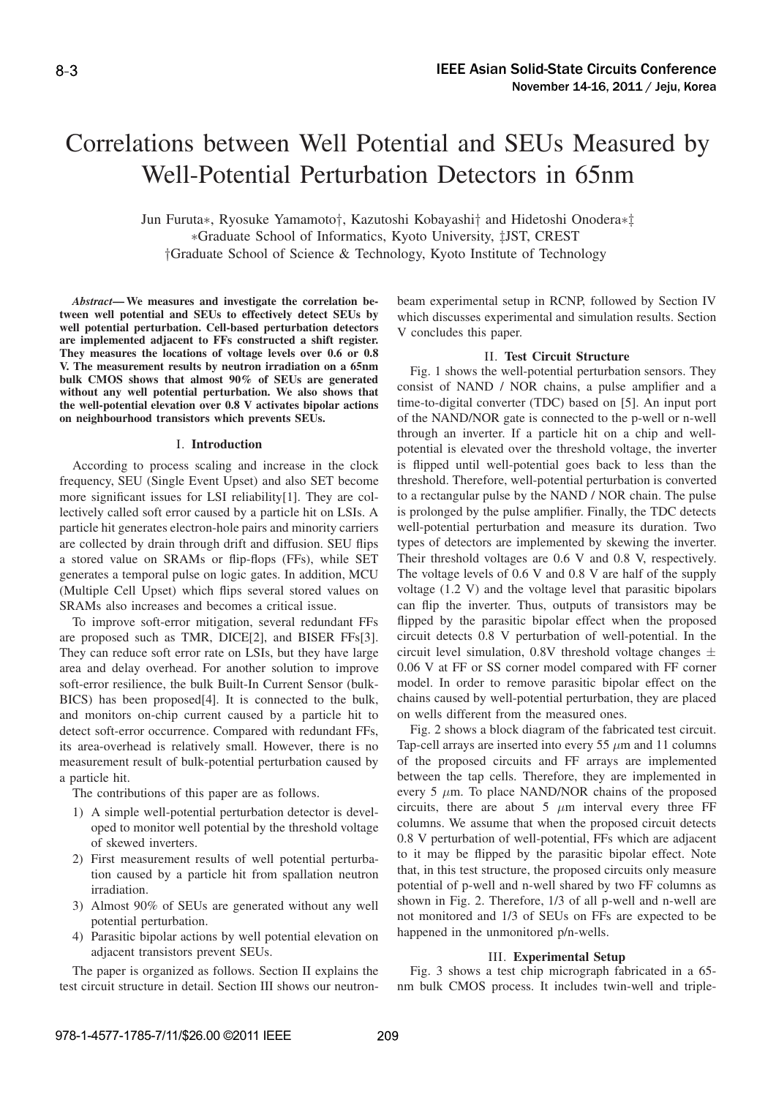# Correlations between Well Potential and SEUs Measured by Well-Potential Perturbation Detectors in 65nm

Jun Furuta∗, Ryosuke Yamamoto†, Kazutoshi Kobayashi† and Hidetoshi Onodera∗‡ ∗Graduate School of Informatics, Kyoto University, ‡JST, CREST †Graduate School of Science & Technology, Kyoto Institute of Technology

*Abstract***— We measures and investigate the correlation between well potential and SEUs to effectively detect SEUs by well potential perturbation. Cell-based perturbation detectors are implemented adjacent to FFs constructed a shift register. They measures the locations of voltage levels over 0.6 or 0.8 V. The measurement results by neutron irradiation on a 65nm bulk CMOS shows that almost 90% of SEUs are generated without any well potential perturbation. We also shows that the well-potential elevation over 0.8 V activates bipolar actions on neighbourhood transistors which prevents SEUs.**

### I. **Introduction**

According to process scaling and increase in the clock frequency, SEU (Single Event Upset) and also SET become more significant issues for LSI reliability[1]. They are collectively called soft error caused by a particle hit on LSIs. A particle hit generates electron-hole pairs and minority carriers are collected by drain through drift and diffusion. SEU flips a stored value on SRAMs or flip-flops (FFs), while SET generates a temporal pulse on logic gates. In addition, MCU (Multiple Cell Upset) which flips several stored values on SRAMs also increases and becomes a critical issue.

To improve soft-error mitigation, several redundant FFs are proposed such as TMR, DICE[2], and BISER FFs[3]. They can reduce soft error rate on LSIs, but they have large area and delay overhead. For another solution to improve soft-error resilience, the bulk Built-In Current Sensor (bulk-BICS) has been proposed[4]. It is connected to the bulk, and monitors on-chip current caused by a particle hit to detect soft-error occurrence. Compared with redundant FFs, its area-overhead is relatively small. However, there is no measurement result of bulk-potential perturbation caused by a particle hit.

The contributions of this paper are as follows.

- 1) A simple well-potential perturbation detector is developed to monitor well potential by the threshold voltage of skewed inverters.
- 2) First measurement results of well potential perturbation caused by a particle hit from spallation neutron irradiation.
- 3) Almost 90% of SEUs are generated without any well potential perturbation.
- 4) Parasitic bipolar actions by well potential elevation on adjacent transistors prevent SEUs.

The paper is organized as follows. Section II explains the test circuit structure in detail. Section III shows our neutronbeam experimental setup in RCNP, followed by Section IV which discusses experimental and simulation results. Section V concludes this paper.

# II. **Test Circuit Structure**

Fig. 1 shows the well-potential perturbation sensors. They consist of NAND / NOR chains, a pulse amplifier and a time-to-digital converter (TDC) based on [5]. An input port of the NAND/NOR gate is connected to the p-well or n-well through an inverter. If a particle hit on a chip and wellpotential is elevated over the threshold voltage, the inverter is flipped until well-potential goes back to less than the threshold. Therefore, well-potential perturbation is converted to a rectangular pulse by the NAND / NOR chain. The pulse is prolonged by the pulse amplifier. Finally, the TDC detects well-potential perturbation and measure its duration. Two types of detectors are implemented by skewing the inverter. Their threshold voltages are 0.6 V and 0.8 V, respectively. The voltage levels of 0.6 V and 0.8 V are half of the supply voltage (1.2 V) and the voltage level that parasitic bipolars can flip the inverter. Thus, outputs of transistors may be flipped by the parasitic bipolar effect when the proposed circuit detects 0.8 V perturbation of well-potential. In the circuit level simulation, 0.8V threshold voltage changes  $\pm$ 0.06 V at FF or SS corner model compared with FF corner model. In order to remove parasitic bipolar effect on the chains caused by well-potential perturbation, they are placed on wells different from the measured ones.

Fig. 2 shows a block diagram of the fabricated test circuit. Tap-cell arrays are inserted into every 55  $\mu$ m and 11 columns of the proposed circuits and FF arrays are implemented between the tap cells. Therefore, they are implemented in every 5  $\mu$ m. To place NAND/NOR chains of the proposed circuits, there are about 5  $\mu$ m interval every three FF columns. We assume that when the proposed circuit detects 0.8 V perturbation of well-potential, FFs which are adjacent to it may be flipped by the parasitic bipolar effect. Note that, in this test structure, the proposed circuits only measure potential of p-well and n-well shared by two FF columns as shown in Fig. 2. Therefore, 1/3 of all p-well and n-well are not monitored and 1/3 of SEUs on FFs are expected to be happened in the unmonitored p/n-wells.

#### III. **Experimental Setup**

Fig. 3 shows a test chip micrograph fabricated in a 65 nm bulk CMOS process. It includes twin-well and triple-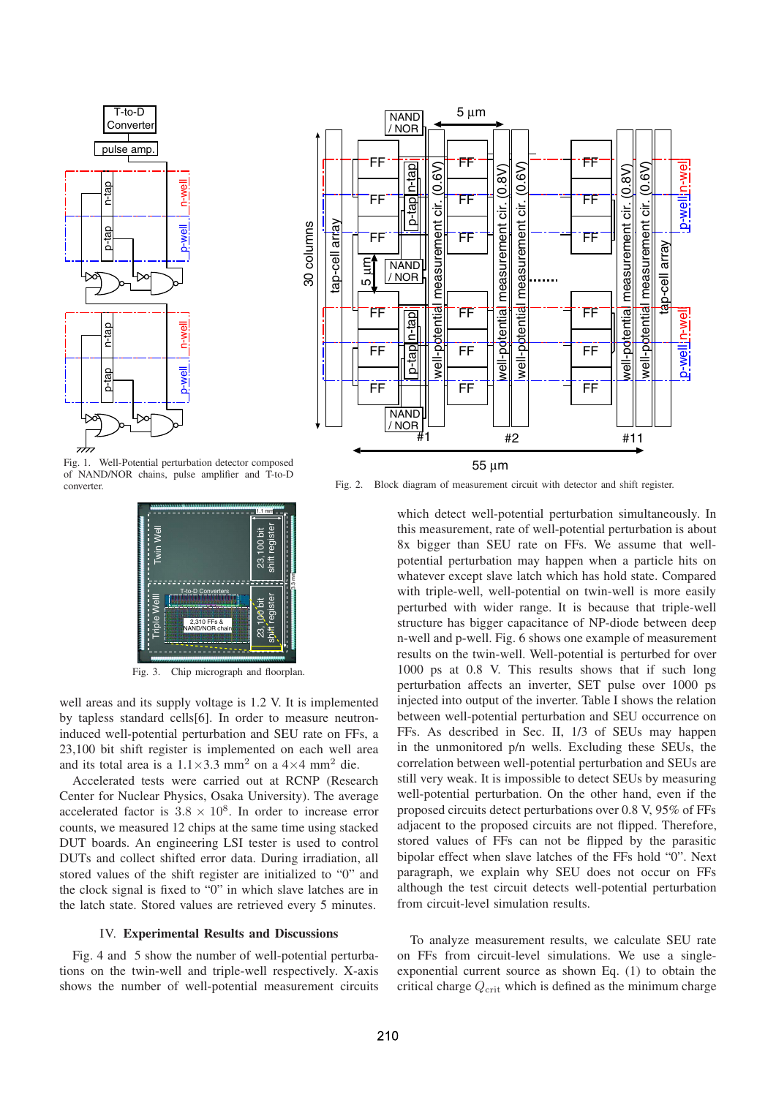

Fig. 1. Well-Potential perturbation detector composed of NAND/NOR chains, pulse amplifier and T-to-D converter.



Fig. 3. Chip micrograph and floorplan.

well areas and its supply voltage is 1.2 V. It is implemented by tapless standard cells[6]. In order to measure neutroninduced well-potential perturbation and SEU rate on FFs, a 23,100 bit shift register is implemented on each well area and its total area is a  $1.1 \times 3.3$  mm<sup>2</sup> on a  $4 \times 4$  mm<sup>2</sup> die.

Accelerated tests were carried out at RCNP (Research Center for Nuclear Physics, Osaka University). The average accelerated factor is  $3.8 \times 10^8$ . In order to increase error counts, we measured 12 chips at the same time using stacked DUT boards. An engineering LSI tester is used to control DUTs and collect shifted error data. During irradiation, all stored values of the shift register are initialized to "0" and the clock signal is fixed to "0" in which slave latches are in the latch state. Stored values are retrieved every 5 minutes.

# IV. **Experimental Results and Discussions**

Fig. 4 and 5 show the number of well-potential perturbations on the twin-well and triple-well respectively. X-axis shows the number of well-potential measurement circuits



Fig. 2. Block diagram of measurement circuit with detector and shift register.

which detect well-potential perturbation simultaneously. In this measurement, rate of well-potential perturbation is about 8x bigger than SEU rate on FFs. We assume that wellpotential perturbation may happen when a particle hits on whatever except slave latch which has hold state. Compared with triple-well, well-potential on twin-well is more easily perturbed with wider range. It is because that triple-well structure has bigger capacitance of NP-diode between deep n-well and p-well. Fig. 6 shows one example of measurement results on the twin-well. Well-potential is perturbed for over 1000 ps at 0.8 V. This results shows that if such long perturbation affects an inverter, SET pulse over 1000 ps injected into output of the inverter. Table I shows the relation between well-potential perturbation and SEU occurrence on FFs. As described in Sec. II, 1/3 of SEUs may happen in the unmonitored p/n wells. Excluding these SEUs, the correlation between well-potential perturbation and SEUs are still very weak. It is impossible to detect SEUs by measuring well-potential perturbation. On the other hand, even if the proposed circuits detect perturbations over 0.8 V, 95% of FFs adjacent to the proposed circuits are not flipped. Therefore, stored values of FFs can not be flipped by the parasitic bipolar effect when slave latches of the FFs hold "0". Next paragraph, we explain why SEU does not occur on FFs although the test circuit detects well-potential perturbation from circuit-level simulation results.

To analyze measurement results, we calculate SEU rate on FFs from circuit-level simulations. We use a singleexponential current source as shown Eq. (1) to obtain the critical charge  $Q_{\text{crit}}$  which is defined as the minimum charge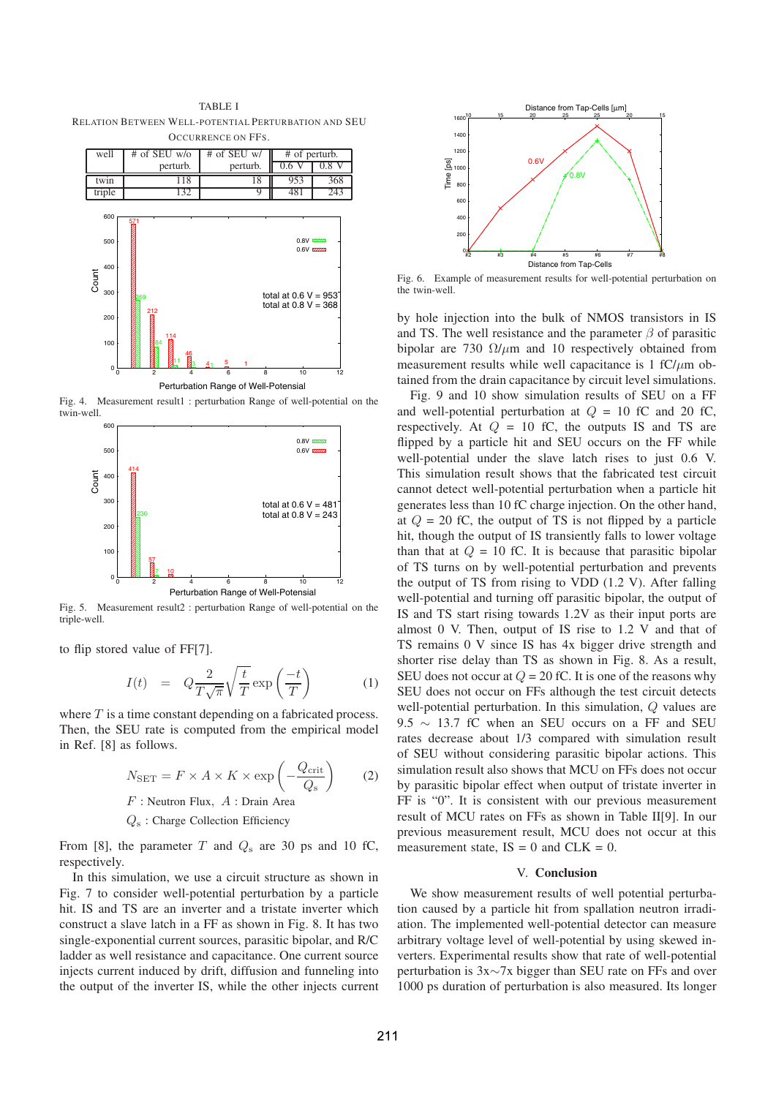TABLE I RELATION BETWEEN WELL-POTENTIAL PERTURBATION AND SEU OCCURRENCE ON FFS.



Fig. 4. Measurement result1 : perturbation Range of well-potential on the twin-well.



Fig. 5. Measurement result2 : perturbation Range of well-potential on the triple-well.

to flip stored value of FF[7].

$$
I(t) = Q \frac{2}{T\sqrt{\pi}} \sqrt{\frac{t}{T}} \exp\left(\frac{-t}{T}\right)
$$
 (1)

where  $T$  is a time constant depending on a fabricated process. Then, the SEU rate is computed from the empirical model in Ref. [8] as follows.

$$
N_{\text{SET}} = F \times A \times K \times \exp\left(-\frac{Q_{\text{crit}}}{Q_{\text{s}}}\right) \tag{2}
$$

 $F$ : Neutron Flux,  $A$ : Drain Area

 $Q_s$ : Charge Collection Efficiency

From [8], the parameter T and  $Q_s$  are 30 ps and 10 fC, respectively.

In this simulation, we use a circuit structure as shown in Fig. 7 to consider well-potential perturbation by a particle hit. IS and TS are an inverter and a tristate inverter which construct a slave latch in a FF as shown in Fig. 8. It has two single-exponential current sources, parasitic bipolar, and R/C ladder as well resistance and capacitance. One current source injects current induced by drift, diffusion and funneling into the output of the inverter IS, while the other injects current



Fig. 6. Example of measurement results for well-potential perturbation on the twin-well.

by hole injection into the bulk of NMOS transistors in IS and TS. The well resistance and the parameter  $\beta$  of parasitic bipolar are 730  $\Omega/\mu$ m and 10 respectively obtained from measurement results while well capacitance is 1 fC/ $\mu$ m obtained from the drain capacitance by circuit level simulations.

Fig. 9 and 10 show simulation results of SEU on a FF and well-potential perturbation at  $Q = 10$  fC and 20 fC, respectively. At  $Q = 10$  fC, the outputs IS and TS are flipped by a particle hit and SEU occurs on the FF while well-potential under the slave latch rises to just 0.6 V. This simulation result shows that the fabricated test circuit cannot detect well-potential perturbation when a particle hit generates less than 10 fC charge injection. On the other hand, at  $Q = 20$  fC, the output of TS is not flipped by a particle hit, though the output of IS transiently falls to lower voltage than that at  $Q = 10$  fC. It is because that parasitic bipolar of TS turns on by well-potential perturbation and prevents the output of TS from rising to VDD (1.2 V). After falling well-potential and turning off parasitic bipolar, the output of IS and TS start rising towards 1.2V as their input ports are almost 0 V. Then, output of IS rise to 1.2 V and that of TS remains 0 V since IS has 4x bigger drive strength and shorter rise delay than TS as shown in Fig. 8. As a result, SEU does not occur at  $Q = 20$  fC. It is one of the reasons why SEU does not occur on FFs although the test circuit detects well-potential perturbation. In this simulation, Q values are 9.5  $\sim$  13.7 fC when an SEU occurs on a FF and SEU rates decrease about 1/3 compared with simulation result of SEU without considering parasitic bipolar actions. This simulation result also shows that MCU on FFs does not occur by parasitic bipolar effect when output of tristate inverter in FF is "0". It is consistent with our previous measurement result of MCU rates on FFs as shown in Table II[9]. In our previous measurement result, MCU does not occur at this measurement state,  $IS = 0$  and  $CLK = 0$ .

#### V. **Conclusion**

We show measurement results of well potential perturbation caused by a particle hit from spallation neutron irradiation. The implemented well-potential detector can measure arbitrary voltage level of well-potential by using skewed inverters. Experimental results show that rate of well-potential perturbation is 3x∼7x bigger than SEU rate on FFs and over 1000 ps duration of perturbation is also measured. Its longer